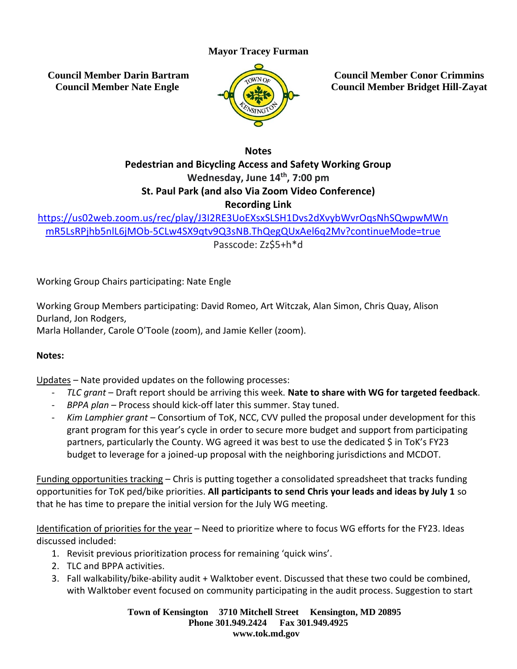## **Mayor Tracey Furman**

**Council Member Darin Bartram Council Member Nate Engle**



**Council Member Conor Crimmins Council Member Bridget Hill-Zayat**

**Notes**

## **Pedestrian and Bicycling Access and Safety Working Group Wednesday, June 14th , 7:00 pm St. Paul Park (and also Via Zoom Video Conference) Recording Link**

[https://us02web.zoom.us/rec/play/J3I2RE3UoEXsxSLSH1Dvs2dXvybWvrOqsNhSQwpwMWn](https://us02web.zoom.us/rec/play/J3I2RE3UoEXsxSLSH1Dvs2dXvybWvrOqsNhSQwpwMWnmR5LsRPjhb5nlL6jMOb-5CLw4SX9qtv9Q3sNB.ThQegQUxAel6q2Mv?continueMode=true) [mR5LsRPjhb5nlL6jMOb-5CLw4SX9qtv9Q3sNB.ThQegQUxAel6q2Mv?continueMode=true](https://us02web.zoom.us/rec/play/J3I2RE3UoEXsxSLSH1Dvs2dXvybWvrOqsNhSQwpwMWnmR5LsRPjhb5nlL6jMOb-5CLw4SX9qtv9Q3sNB.ThQegQUxAel6q2Mv?continueMode=true) Passcode: Zz\$5+h\*d

Working Group Chairs participating: Nate Engle

Working Group Members participating: David Romeo, Art Witczak, Alan Simon, Chris Quay, Alison Durland, Jon Rodgers, Marla Hollander, Carole O'Toole (zoom), and Jamie Keller (zoom).

## **Notes:**

Updates – Nate provided updates on the following processes:

- *TLC grant* Draft report should be arriving this week. **Nate to share with WG for targeted feedback**.
- *BPPA plan* Process should kick-off later this summer. Stay tuned.
- *Kim Lamphier grant* Consortium of ToK, NCC, CVV pulled the proposal under development for this grant program for this year's cycle in order to secure more budget and support from participating partners, particularly the County. WG agreed it was best to use the dedicated \$ in ToK's FY23 budget to leverage for a joined-up proposal with the neighboring jurisdictions and MCDOT.

Funding opportunities tracking – Chris is putting together a consolidated spreadsheet that tracks funding opportunities for ToK ped/bike priorities. **All participants to send Chris your leads and ideas by July 1** so that he has time to prepare the initial version for the July WG meeting.

Identification of priorities for the year - Need to prioritize where to focus WG efforts for the FY23. Ideas discussed included:

- 1. Revisit previous prioritization process for remaining 'quick wins'.
- 2. TLC and BPPA activities.
- 3. Fall walkability/bike-ability audit + Walktober event. Discussed that these two could be combined, with Walktober event focused on community participating in the audit process. Suggestion to start

**Town of Kensington 3710 Mitchell Street Kensington, MD 20895 Phone 301.949.2424 Fax 301.949.4925 www.tok.md.gov**